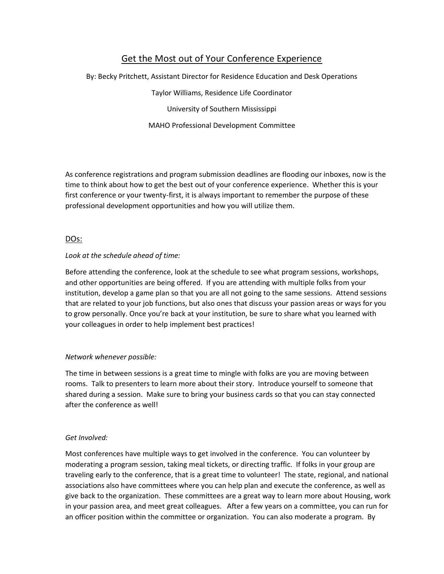# Get the Most out of Your Conference Experience

By: Becky Pritchett, Assistant Director for Residence Education and Desk Operations

Taylor Williams, Residence Life Coordinator University of Southern Mississippi

MAHO Professional Development Committee

As conference registrations and program submission deadlines are flooding our inboxes, now is the time to think about how to get the best out of your conference experience. Whether this is your first conference or your twenty-first, it is always important to remember the purpose of these professional development opportunities and how you will utilize them.

# DOs:

# *Look at the schedule ahead of time:*

Before attending the conference, look at the schedule to see what program sessions, workshops, and other opportunities are being offered. If you are attending with multiple folks from your institution, develop a game plan so that you are all not going to the same sessions. Attend sessions that are related to your job functions, but also ones that discuss your passion areas or ways for you to grow personally. Once you're back at your institution, be sure to share what you learned with your colleagues in order to help implement best practices!

# *Network whenever possible:*

The time in between sessions is a great time to mingle with folks are you are moving between rooms. Talk to presenters to learn more about their story. Introduce yourself to someone that shared during a session. Make sure to bring your business cards so that you can stay connected after the conference as well!

# *Get Involved:*

Most conferences have multiple ways to get involved in the conference. You can volunteer by moderating a program session, taking meal tickets, or directing traffic. If folks in your group are traveling early to the conference, that is a great time to volunteer! The state, regional, and national associations also have committees where you can help plan and execute the conference, as well as give back to the organization. These committees are a great way to learn more about Housing, work in your passion area, and meet great colleagues. After a few years on a committee, you can run for an officer position within the committee or organization. You can also moderate a program. By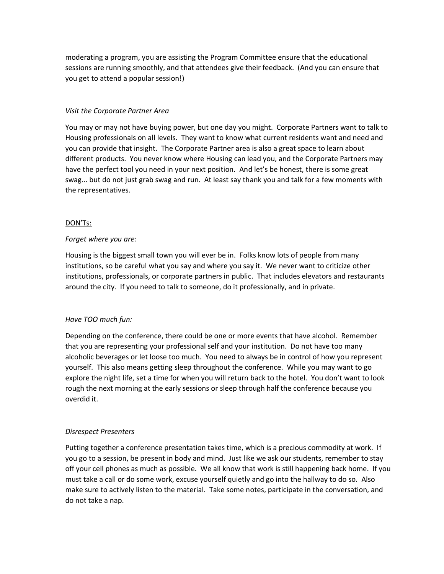moderating a program, you are assisting the Program Committee ensure that the educational sessions are running smoothly, and that attendees give their feedback. (And you can ensure that you get to attend a popular session!)

#### *Visit the Corporate Partner Area*

You may or may not have buying power, but one day you might. Corporate Partners want to talk to Housing professionals on all levels. They want to know what current residents want and need and you can provide that insight. The Corporate Partner area is also a great space to learn about different products. You never know where Housing can lead you, and the Corporate Partners may have the perfect tool you need in your next position. And let's be honest, there is some great swag... but do not just grab swag and run. At least say thank you and talk for a few moments with the representatives.

# DON'Ts:

#### *Forget where you are:*

Housing is the biggest small town you will ever be in. Folks know lots of people from many institutions, so be careful what you say and where you say it. We never want to criticize other institutions, professionals, or corporate partners in public. That includes elevators and restaurants around the city. If you need to talk to someone, do it professionally, and in private.

# *Have TOO much fun:*

Depending on the conference, there could be one or more events that have alcohol. Remember that you are representing your professional self and your institution. Do not have too many alcoholic beverages or let loose too much. You need to always be in control of how you represent yourself. This also means getting sleep throughout the conference. While you may want to go explore the night life, set a time for when you will return back to the hotel. You don't want to look rough the next morning at the early sessions or sleep through half the conference because you overdid it.

# *Disrespect Presenters*

Putting together a conference presentation takes time, which is a precious commodity at work. If you go to a session, be present in body and mind. Just like we ask our students, remember to stay off your cell phones as much as possible. We all know that work is still happening back home. If you must take a call or do some work, excuse yourself quietly and go into the hallway to do so. Also make sure to actively listen to the material. Take some notes, participate in the conversation, and do not take a nap.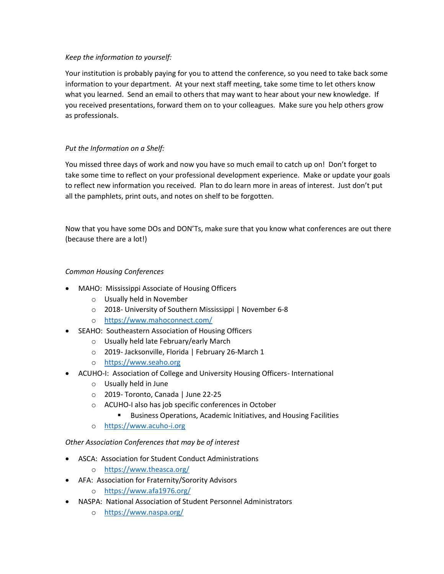# *Keep the information to yourself:*

Your institution is probably paying for you to attend the conference, so you need to take back some information to your department. At your next staff meeting, take some time to let others know what you learned. Send an email to others that may want to hear about your new knowledge. If you received presentations, forward them on to your colleagues. Make sure you help others grow as professionals.

# *Put the Information on a Shelf:*

You missed three days of work and now you have so much email to catch up on! Don't forget to take some time to reflect on your professional development experience. Make or update your goals to reflect new information you received. Plan to do learn more in areas of interest. Just don't put all the pamphlets, print outs, and notes on shelf to be forgotten.

Now that you have some DOs and DON'Ts, make sure that you know what conferences are out there (because there are a lot!)

# *Common Housing Conferences*

- MAHO: Mississippi Associate of Housing Officers
	- o Usually held in November
	- o 2018- University of Southern Mississippi | November 6-8
	- o <https://www.mahoconnect.com/>
- SEAHO: Southeastern Association of Housing Officers
	- o Usually held late February/early March
	- o 2019- Jacksonville, Florida | February 26-March 1
	- o [https://www.seaho.org](https://www.seaho.org/)
- ACUHO-I: Association of College and University Housing Officers- International
	- o Usually held in June
	- o 2019- Toronto, Canada | June 22-25
	- o ACUHO-I also has job specific conferences in October
		- **Business Operations, Academic Initiatives, and Housing Facilities**
	- o [https://www.acuho-i.org](https://www.acuho-i.org/)

# *Other Association Conferences that may be of interest*

- ASCA: Association for Student Conduct Administrations
	- o <https://www.theasca.org/>
- AFA: Association for Fraternity/Sorority Advisors
	- o <https://www.afa1976.org/>
- NASPA: National Association of Student Personnel Administrators
	- o <https://www.naspa.org/>